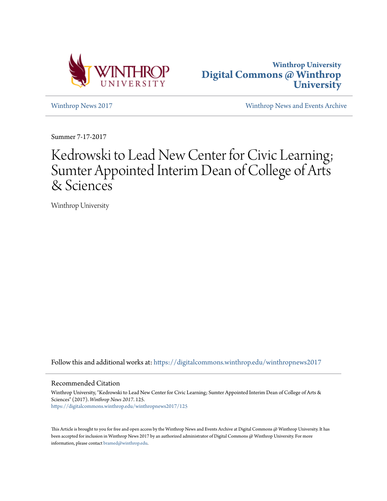



[Winthrop News 2017](https://digitalcommons.winthrop.edu/winthropnews2017?utm_source=digitalcommons.winthrop.edu%2Fwinthropnews2017%2F125&utm_medium=PDF&utm_campaign=PDFCoverPages) [Winthrop News and Events Archive](https://digitalcommons.winthrop.edu/winthropnewsarchives?utm_source=digitalcommons.winthrop.edu%2Fwinthropnews2017%2F125&utm_medium=PDF&utm_campaign=PDFCoverPages)

Summer 7-17-2017

## Kedrowski to Lead New Center for Civic Learning; Sumter Appointed Interim Dean of College of Arts & Sciences

Winthrop University

Follow this and additional works at: [https://digitalcommons.winthrop.edu/winthropnews2017](https://digitalcommons.winthrop.edu/winthropnews2017?utm_source=digitalcommons.winthrop.edu%2Fwinthropnews2017%2F125&utm_medium=PDF&utm_campaign=PDFCoverPages)

## Recommended Citation

Winthrop University, "Kedrowski to Lead New Center for Civic Learning; Sumter Appointed Interim Dean of College of Arts & Sciences" (2017). *Winthrop News 2017*. 125. [https://digitalcommons.winthrop.edu/winthropnews2017/125](https://digitalcommons.winthrop.edu/winthropnews2017/125?utm_source=digitalcommons.winthrop.edu%2Fwinthropnews2017%2F125&utm_medium=PDF&utm_campaign=PDFCoverPages)

This Article is brought to you for free and open access by the Winthrop News and Events Archive at Digital Commons @ Winthrop University. It has been accepted for inclusion in Winthrop News 2017 by an authorized administrator of Digital Commons @ Winthrop University. For more information, please contact [bramed@winthrop.edu](mailto:bramed@winthrop.edu).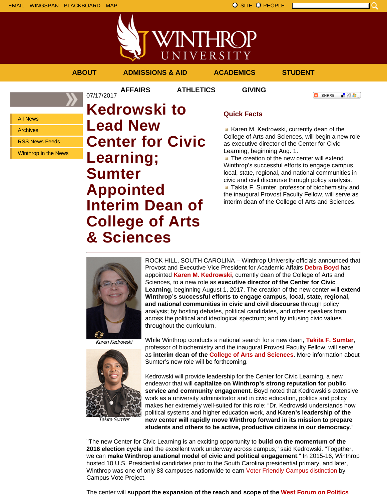WINTHROP UNIVERSITY

**AFFAIRS ATHLETICS GIVING**

07/17/2017

**ABOUT ADMISSIONS & AID ACADEMICS STUDENT**

**C** SHARE 上帝身上

All News

Archives

RSS News Feeds

Winthrop in the News

**Kedrowski to Lead New Center for Civic Learning; Sumter Appointed Interim Dean of College of Arts & Sciences**

## **Quick Facts**

Karen M. Kedrowski, currently dean of the College of Arts and Sciences, will begin a new role as executive director of the Center for Civic Learning, beginning Aug. 1.

 $\blacksquare$  The creation of the new center will extend Winthrop's successful efforts to engage campus, local, state, regional, and national communities in civic and civil discourse through policy analysis. **Takita F. Sumter, professor of biochemistry and** the inaugural Provost Faculty Fellow, will serve as interim dean of the College of Arts and Sciences.



ROCK HILL, SOUTH CAROLINA – Winthrop University officials announced that Provost and Executive Vice President for Academic Affairs **Debra Boyd** has appointed **Karen M. Kedrowski**, currently dean of the College of Arts and Sciences, to a new role as **executive director of the Center for Civic Learning**, beginning August 1, 2017. The creation of the new center will **extend Winthrop's successful efforts to engage campus, local, state, regional, and national communities in civic and civil discourse** through policy analysis; by hosting debates, political candidates, and other speakers from across the political and ideological spectrum; and by infusing civic values throughout the curriculum.

Karen Kedrowski



Takita Sumter

While Winthrop conducts a national search for a new dean, **Takita F. Sumter**, professor of biochemistry and the inaugural Provost Faculty Fellow, will serve as **interim dean of the College of Arts and Sciences**. More information about Sumter's new role will be forthcoming.

Kedrowski will provide leadership for the Center for Civic Learning, a new endeavor that will **capitalize on Winthrop's strong reputation for public service and community engagement**. Boyd noted that Kedrowski's extensive work as a university administrator and in civic education, politics and policy makes her extremely well-suited for this role: "Dr. Kedrowski understands how political systems and higher education work, and **Karen's leadership of the new center will rapidly move Winthrop forward in its mission to prepare students and others to be active, productive citizens in our democracy**."

"The new Center for Civic Learning is an exciting opportunity to **build on the momentum of the 2016 election cycle** and the excellent work underway across campus," said Kedrowski. "Together, we can **make Winthrop anational model of civic and political engagement**." In 2015-16, Winthrop hosted 10 U.S. Presidential candidates prior to the South Carolina presidential primary, and later, Winthrop was one of only 83 campuses nationwide to earn Voter Friendly Campus distinction by Campus Vote Project.

The center will **support the expansion of the reach and scope of the West Forum on Politics**